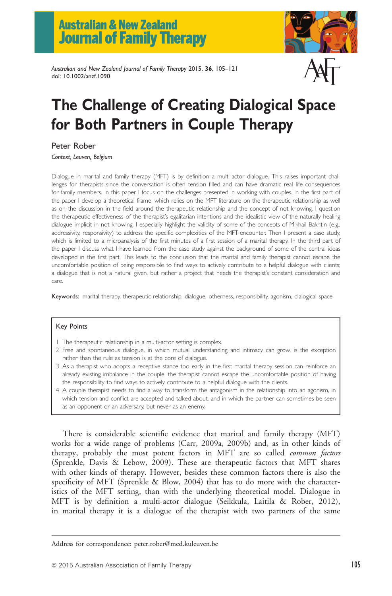

Australian and New Zealand Journal of Family Therapy 2015, 36, 105–<sup>121</sup> doi: 10.1002/anzf.1090

# The Challenge of Creating Dialogical Space<br>for Both Partners in Couple Therapy for Both Partners in Couple Therapy

# Peter Rober

Context, Leuven, Belgium

Dialogue in marital and family therapy (MFT) is by definition a multi-actor dialogue. This raises important challenges for therapists since the conversation is often tension filled and can have dramatic real life consequences for family members. In this paper I focus on the challenges presented in working with couples. In the first part of the paper I develop a theoretical frame, which relies on the MFT literature on the therapeutic relationship as well as on the discussion in the field around the therapeutic relationship and the concept of not knowing. I question the therapeutic effectiveness of the therapist's egalitarian intentions and the idealistic view of the naturally healing dialogue implicit in not knowing. I especially highlight the validity of some of the concepts of Mikhail Bakhtin (e.g., addressivity, responsivity) to address the specific complexities of the MFT encounter. Then I present a case study, which is limited to a microanalysis of the first minutes of a first session of a marital therapy. In the third part of the paper I discuss what I have learned from the case study against the background of some of the central ideas developed in the first part. This leads to the conclusion that the marital and family therapist cannot escape the uncomfortable position of being responsible to find ways to actively contribute to a helpful dialogue with clients; a dialogue that is not a natural given, but rather a project that needs the therapist's constant consideration and care.

Keywords: marital therapy, therapeutic relationship, dialogue, otherness, responsibility, agonism, dialogical space

## Key Points

- 1 The therapeutic relationship in a multi-actor setting is complex.
- 2 Free and spontaneous dialogue, in which mutual understanding and intimacy can grow, is the exception rather than the rule as tension is at the core of dialogue.
- 3 As a therapist who adopts a receptive stance too early in the first marital therapy session can reinforce an already existing imbalance in the couple, the therapist cannot escape the uncomfortable position of having the responsibility to find ways to actively contribute to a helpful dialogue with the clients.
- 4 A couple therapist needs to find a way to transform the antagonism in the relationship into an agonism, in which tension and conflict are accepted and talked about, and in which the partner can sometimes be seen as an opponent or an adversary, but never as an enemy.

There is considerable scientific evidence that marital and family therapy (MFT) works for a wide range of problems (Carr, 2009a, 2009b) and, as in other kinds of therapy, probably the most potent factors in MFT are so called common factors (Sprenkle, Davis & Lebow, 2009). These are therapeutic factors that MFT shares with other kinds of therapy. However, besides these common factors there is also the specificity of MFT (Sprenkle & Blow, 2004) that has to do more with the characteristics of the MFT setting, than with the underlying theoretical model. Dialogue in MFT is by definition a multi-actor dialogue (Seikkula, Laitila & Rober, 2012), in marital therapy it is a dialogue of the therapist with two partners of the same

Address for correspondence: peter.rober@med.kuleuven.be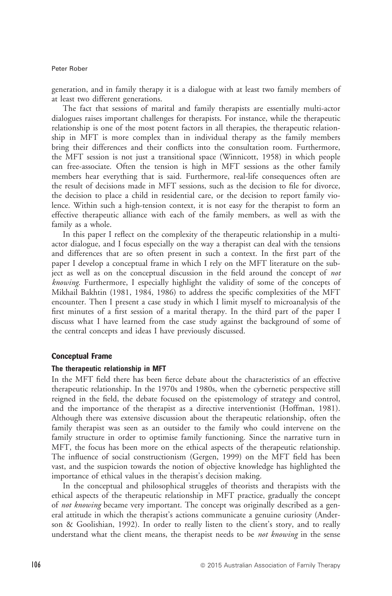generation, and in family therapy it is a dialogue with at least two family members of at least two different generations.

The fact that sessions of marital and family therapists are essentially multi-actor dialogues raises important challenges for therapists. For instance, while the therapeutic relationship is one of the most potent factors in all therapies, the therapeutic relationship in MFT is more complex than in individual therapy as the family members bring their differences and their conflicts into the consultation room. Furthermore, the MFT session is not just a transitional space (Winnicott, 1958) in which people can free-associate. Often the tension is high in MFT sessions as the other family members hear everything that is said. Furthermore, real-life consequences often are the result of decisions made in MFT sessions, such as the decision to file for divorce, the decision to place a child in residential care, or the decision to report family violence. Within such a high-tension context, it is not easy for the therapist to form an effective therapeutic alliance with each of the family members, as well as with the family as a whole.

In this paper I reflect on the complexity of the therapeutic relationship in a multiactor dialogue, and I focus especially on the way a therapist can deal with the tensions and differences that are so often present in such a context. In the first part of the paper I develop a conceptual frame in which I rely on the MFT literature on the subject as well as on the conceptual discussion in the field around the concept of not knowing. Furthermore, I especially highlight the validity of some of the concepts of Mikhail Bakhtin (1981, 1984, 1986) to address the specific complexities of the MFT encounter. Then I present a case study in which I limit myself to microanalysis of the first minutes of a first session of a marital therapy. In the third part of the paper I discuss what I have learned from the case study against the background of some of the central concepts and ideas I have previously discussed.

## Conceptual Frame

## The therapeutic relationship in MFT

In the MFT field there has been fierce debate about the characteristics of an effective therapeutic relationship. In the 1970s and 1980s, when the cybernetic perspective still reigned in the field, the debate focused on the epistemology of strategy and control, and the importance of the therapist as a directive interventionist (Hoffman, 1981). Although there was extensive discussion about the therapeutic relationship, often the family therapist was seen as an outsider to the family who could intervene on the family structure in order to optimise family functioning. Since the narrative turn in MFT, the focus has been more on the ethical aspects of the therapeutic relationship. The influence of social constructionism (Gergen, 1999) on the MFT field has been vast, and the suspicion towards the notion of objective knowledge has highlighted the importance of ethical values in the therapist's decision making.

In the conceptual and philosophical struggles of theorists and therapists with the ethical aspects of the therapeutic relationship in MFT practice, gradually the concept of *not knowing* became very important. The concept was originally described as a general attitude in which the therapist's actions communicate a genuine curiosity (Anderson & Goolishian, 1992). In order to really listen to the client's story, and to really understand what the client means, the therapist needs to be *not knowing* in the sense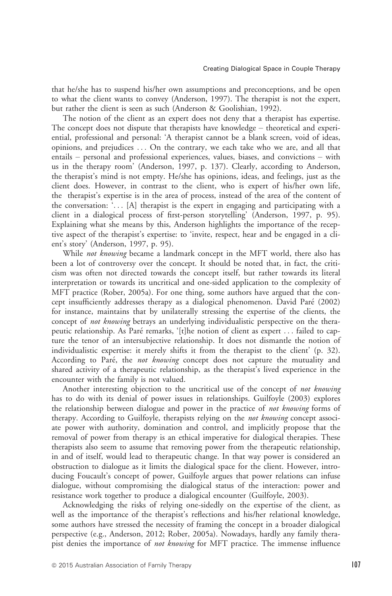that he/she has to suspend his/her own assumptions and preconceptions, and be open to what the client wants to convey (Anderson, 1997). The therapist is not the expert, but rather the client is seen as such (Anderson & Goolishian, 1992).

The notion of the client as an expert does not deny that a therapist has expertise. The concept does not dispute that therapists have knowledge – theoretical and experiential, professional and personal: 'A therapist cannot be a blank screen, void of ideas, opinions, and prejudices ... On the contrary, we each take who we are, and all that entails – personal and professional experiences, values, biases, and convictions – with us in the therapy room' (Anderson, 1997, p. 137). Clearly, according to Anderson, the therapist's mind is not empty. He/she has opinions, ideas, and feelings, just as the client does. However, in contrast to the client, who is expert of his/her own life, the therapist's expertise is in the area of process, instead of the area of the content of the conversation: '... [A] therapist is the expert in engaging and participating with a client in a dialogical process of first-person storytelling' (Anderson, 1997, p. 95). Explaining what she means by this, Anderson highlights the importance of the receptive aspect of the therapist's expertise: to 'invite, respect, hear and be engaged in a client's story' (Anderson, 1997, p. 95).

While *not knowing* became a landmark concept in the MFT world, there also has been a lot of controversy over the concept. It should be noted that, in fact, the criticism was often not directed towards the concept itself, but rather towards its literal interpretation or towards its uncritical and one-sided application to the complexity of MFT practice (Rober, 2005a). For one thing, some authors have argued that the concept insufficiently addresses therapy as a dialogical phenomenon. David Paré (2002) for instance, maintains that by unilaterally stressing the expertise of the clients, the concept of *not knowing* betrays an underlying individualistic perspective on the therapeutic relationship. As Paré remarks, '[t]he notion of client as expert . . . failed to capture the tenor of an intersubjective relationship. It does not dismantle the notion of individualistic expertise: it merely shifts it from the therapist to the client' (p. 32). According to Paré, the *not knowing* concept does not capture the mutuality and shared activity of a therapeutic relationship, as the therapist's lived experience in the encounter with the family is not valued.

Another interesting objection to the uncritical use of the concept of *not knowing* has to do with its denial of power issues in relationships. Guilfoyle (2003) explores the relationship between dialogue and power in the practice of not knowing forms of therapy. According to Guilfoyle, therapists relying on the *not knowing* concept associate power with authority, domination and control, and implicitly propose that the removal of power from therapy is an ethical imperative for dialogical therapies. These therapists also seem to assume that removing power from the therapeutic relationship, in and of itself, would lead to therapeutic change. In that way power is considered an obstruction to dialogue as it limits the dialogical space for the client. However, introducing Foucault's concept of power, Guilfoyle argues that power relations can infuse dialogue, without compromising the dialogical status of the interaction: power and resistance work together to produce a dialogical encounter (Guilfoyle, 2003).

Acknowledging the risks of relying one-sidedly on the expertise of the client, as well as the importance of the therapist's reflections and his/her relational knowledge, some authors have stressed the necessity of framing the concept in a broader dialogical perspective (e.g., Anderson, 2012; Rober, 2005a). Nowadays, hardly any family therapist denies the importance of *not knowing* for MFT practice. The immense influence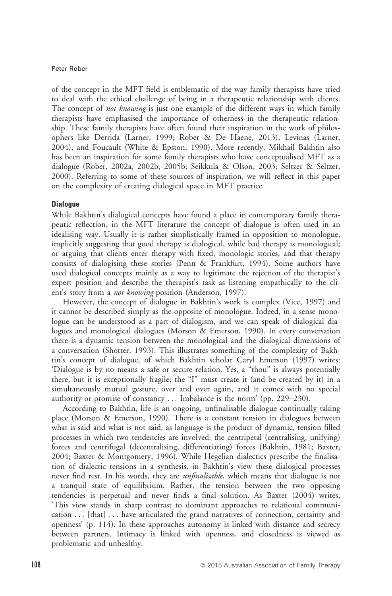of the concept in the MFT field is emblematic of the way family therapists have tried to deal with the ethical challenge of being in a therapeutic relationship with clients. The concept of *not knowing* is just one example of the different ways in which family therapists have emphasised the importance of otherness in the therapeutic relationship. These family therapists have often found their inspiration in the work of philosophers like Derrida (Larner, 1999; Rober & De Haene, 2013), Levinas (Larner, 2004), and Foucault (White & Epston, 1990). More recently, Mikhail Bakhtin also has been an inspiration for some family therapists who have conceptualised MFT as a dialogue (Rober, 2002a, 2002b, 2005b; Seikkula & Olson, 2003; Seltzer & Seltzer, 2000). Referring to some of these sources of inspiration, we will reflect in this paper on the complexity of creating dialogical space in MFT practice.

# **Dialogue**

While Bakhtin's dialogical concepts have found a place in contemporary family therapeutic reflection, in the MFT literature the concept of dialogue is often used in an idealising way. Usually it is rather simplistically framed in opposition to monologue, implicitly suggesting that good therapy is dialogical, while bad therapy is monological; or arguing that clients enter therapy with fixed, monologic stories, and that therapy consists of dialogising these stories (Penn & Frankfurt, 1994). Some authors have used dialogical concepts mainly as a way to legitimate the rejection of the therapist's expert position and describe the therapist's task as listening empathically to the client's story from a not knowing position (Anderson, 1997).

However, the concept of dialogue in Bakhtin's work is complex (Vice, 1997) and it cannot be described simply as the opposite of monologue. Indeed, in a sense monologue can be understood as a part of dialogism, and we can speak of dialogical dialogues and monological dialogues (Morson & Emerson, 1990). In every conversation there is a dynamic tension between the monological and the dialogical dimensions of a conversation (Shotter, 1993). This illustrates something of the complexity of Bakhtin's concept of dialogue, of which Bakhtin scholar Caryl Emerson (1997) writes: 'Dialogue is by no means a safe or secure relation. Yes, a "thou" is always potentially there, but it is exceptionally fragile; the "I" must create it (and be created by it) in a simultaneously mutual gesture, over and over again, and it comes with no special authority or promise of constancy ... Imbalance is the norm' (pp. 229–230).

According to Bakhtin, life is an ongoing, unfinalisable dialogue continually taking place (Morson & Emerson, 1990). There is a constant tension in dialogues between what is said and what is not said, as language is the product of dynamic, tension filled processes in which two tendencies are involved: the centripetal (centralising, unifying) forces and centrifugal (decentralising, differentiating) forces (Bakhtin, 1981; Baxter, 2004; Baxter & Montgomery, 1996). While Hegelian dialectics prescribe the finalisation of dialectic tensions in a synthesis, in Bakhtin's view these dialogical processes never find rest. In his words, they are unfinalisable, which means that dialogue is not a tranquil state of equilibrium. Rather, the tension between the two opposing tendencies is perpetual and never finds a final solution. As Baxter (2004) writes, 'This view stands in sharp contrast to dominant approaches to relational communication ... [that] ... have articulated the grand narratives of connection, certainty and openness' (p. 114). In these approaches autonomy is linked with distance and secrecy between partners. Intimacy is linked with openness, and closedness is viewed as problematic and unhealthy.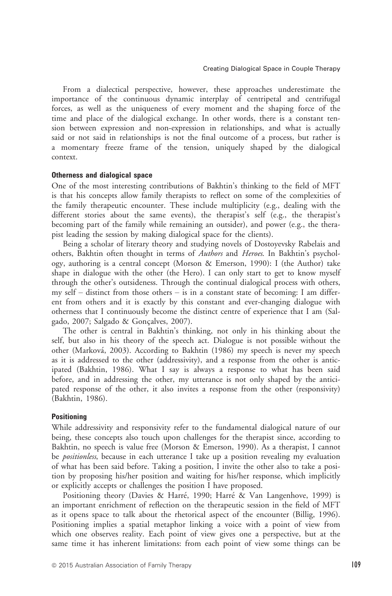From a dialectical perspective, however, these approaches underestimate the importance of the continuous dynamic interplay of centripetal and centrifugal forces, as well as the uniqueness of every moment and the shaping force of the time and place of the dialogical exchange. In other words, there is a constant tension between expression and non-expression in relationships, and what is actually said or not said in relationships is not the final outcome of a process, but rather is a momentary freeze frame of the tension, uniquely shaped by the dialogical context.

## Otherness and dialogical space

One of the most interesting contributions of Bakhtin's thinking to the field of MFT is that his concepts allow family therapists to reflect on some of the complexities of the family therapeutic encounter. These include multiplicity (e.g., dealing with the different stories about the same events), the therapist's self (e.g., the therapist's becoming part of the family while remaining an outsider), and power (e.g., the therapist leading the session by making dialogical space for the clients).

Being a scholar of literary theory and studying novels of Dostoyevsky Rabelais and others, Bakhtin often thought in terms of Authors and Heroes. In Bakhtin's psychology, authoring is a central concept (Morson & Emerson, 1990): I (the Author) take shape in dialogue with the other (the Hero). I can only start to get to know myself through the other's outsideness. Through the continual dialogical process with others, my self – distinct from those others – is in a constant state of becoming: I am different from others and it is exactly by this constant and ever-changing dialogue with otherness that I continuously become the distinct centre of experience that I am (Salgado, 2007; Salgado & Goncalves, 2007).

The other is central in Bakhtin's thinking, not only in his thinking about the self, but also in his theory of the speech act. Dialogue is not possible without the other (Marková, 2003). According to Bakhtin (1986) my speech is never my speech as it is addressed to the other (addressivity), and a response from the other is anticipated (Bakhtin, 1986). What I say is always a response to what has been said before, and in addressing the other, my utterance is not only shaped by the anticipated response of the other, it also invites a response from the other (responsivity) (Bakhtin, 1986).

## Positioning

While addressivity and responsivity refer to the fundamental dialogical nature of our being, these concepts also touch upon challenges for the therapist since, according to Bakhtin, no speech is value free (Morson & Emerson, 1990). As a therapist, I cannot be *positionless*, because in each utterance I take up a position revealing my evaluation of what has been said before. Taking a position, I invite the other also to take a position by proposing his/her position and waiting for his/her response, which implicitly or explicitly accepts or challenges the position I have proposed.

Positioning theory (Davies & Harré, 1990; Harré & Van Langenhove, 1999) is an important enrichment of reflection on the therapeutic session in the field of MFT as it opens space to talk about the rhetorical aspect of the encounter (Billig, 1996). Positioning implies a spatial metaphor linking a voice with a point of view from which one observes reality. Each point of view gives one a perspective, but at the same time it has inherent limitations: from each point of view some things can be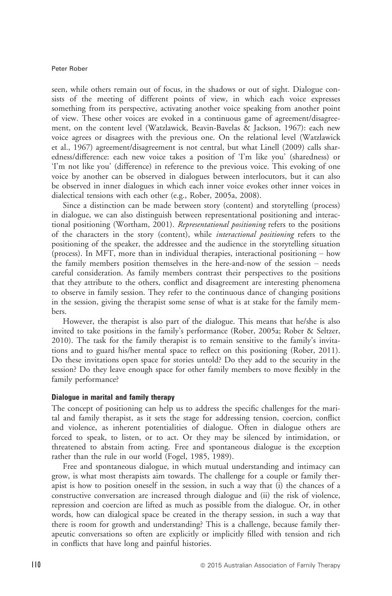seen, while others remain out of focus, in the shadows or out of sight. Dialogue consists of the meeting of different points of view, in which each voice expresses something from its perspective, activating another voice speaking from another point of view. These other voices are evoked in a continuous game of agreement/disagreement, on the content level (Watzlawick, Beavin-Bavelas & Jackson, 1967): each new voice agrees or disagrees with the previous one. On the relational level (Watzlawick et al., 1967) agreement/disagreement is not central, but what Linell (2009) calls sharedness/difference: each new voice takes a position of 'I'm like you' (sharedness) or 'I'm not like you' (difference) in reference to the previous voice. This evoking of one voice by another can be observed in dialogues between interlocutors, but it can also be observed in inner dialogues in which each inner voice evokes other inner voices in dialectical tensions with each other (e.g., Rober, 2005a, 2008).

Since a distinction can be made between story (content) and storytelling (process) in dialogue, we can also distinguish between representational positioning and interactional positioning (Wortham, 2001). *Representational positioning* refers to the positions of the characters in the story (content), while *interactional positioning* refers to the positioning of the speaker, the addressee and the audience in the storytelling situation (process). In MFT, more than in individual therapies, interactional positioning – how the family members position themselves in the here-and-now of the session – needs careful consideration. As family members contrast their perspectives to the positions that they attribute to the others, conflict and disagreement are interesting phenomena to observe in family session. They refer to the continuous dance of changing positions in the session, giving the therapist some sense of what is at stake for the family members.

However, the therapist is also part of the dialogue. This means that he/she is also invited to take positions in the family's performance (Rober, 2005a; Rober & Seltzer, 2010). The task for the family therapist is to remain sensitive to the family's invitations and to guard his/her mental space to reflect on this positioning (Rober, 2011). Do these invitations open space for stories untold? Do they add to the security in the session? Do they leave enough space for other family members to move flexibly in the family performance?

# Dialogue in marital and family therapy

The concept of positioning can help us to address the specific challenges for the marital and family therapist, as it sets the stage for addressing tension, coercion, conflict and violence, as inherent potentialities of dialogue. Often in dialogue others are forced to speak, to listen, or to act. Or they may be silenced by intimidation, or threatened to abstain from acting. Free and spontaneous dialogue is the exception rather than the rule in our world (Fogel, 1985, 1989).

Free and spontaneous dialogue, in which mutual understanding and intimacy can grow, is what most therapists aim towards. The challenge for a couple or family therapist is how to position oneself in the session, in such a way that (i) the chances of a constructive conversation are increased through dialogue and (ii) the risk of violence, repression and coercion are lifted as much as possible from the dialogue. Or, in other words, how can dialogical space be created in the therapy session, in such a way that there is room for growth and understanding? This is a challenge, because family therapeutic conversations so often are explicitly or implicitly filled with tension and rich in conflicts that have long and painful histories.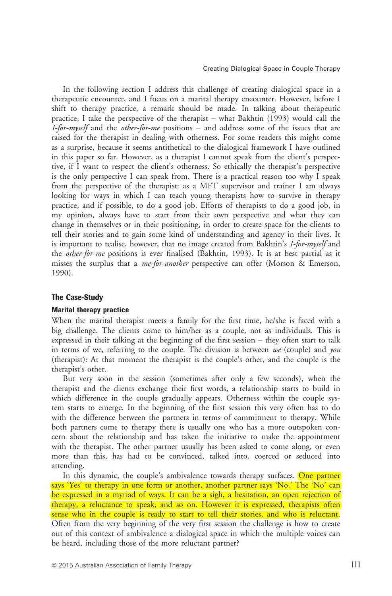Creating Dialogical Space in Couple Therapy Creating Dialogical Space in Couple Therapy

In the following section I address this challenge of creating dialogical space in a therapeutic encounter, and I focus on a marital therapy encounter. However, before I shift to therapy practice, a remark should be made. In talking about therapeutic practice, I take the perspective of the therapist – what Bakhtin (1993) would call the I-for-myself and the other-for-me positions – and address some of the issues that are raised for the therapist in dealing with otherness. For some readers this might come as a surprise, because it seems antithetical to the dialogical framework I have outlined in this paper so far. However, as a therapist I cannot speak from the client's perspective, if I want to respect the client's otherness. So ethically the therapist's perspective is the only perspective I can speak from. There is a practical reason too why I speak from the perspective of the therapist: as a MFT supervisor and trainer I am always looking for ways in which I can teach young therapists how to survive in therapy practice, and if possible, to do a good job. Efforts of therapists to do a good job, in my opinion, always have to start from their own perspective and what they can change in themselves or in their positioning, in order to create space for the clients to tell their stories and to gain some kind of understanding and agency in their lives. It is important to realise, however, that no image created from Bakhtin's I-for-myself and the other-for-me positions is ever finalised (Bakhtin, 1993). It is at best partial as it misses the surplus that a *me-for-another* perspective can offer (Morson & Emerson, 1990).

# The Case-Study

# Marital therapy practice

When the marital therapist meets a family for the first time, he/she is faced with a big challenge. The clients come to him/her as a couple, not as individuals. This is expressed in their talking at the beginning of the first session – they often start to talk in terms of we, referring to the couple. The division is between  $we$  (couple) and you (therapist): At that moment the therapist is the couple's other, and the couple is the therapist's other.

But very soon in the session (sometimes after only a few seconds), when the therapist and the clients exchange their first words, a relationship starts to build in which difference in the couple gradually appears. Otherness within the couple system starts to emerge. In the beginning of the first session this very often has to do with the difference between the partners in terms of commitment to therapy. While both partners come to therapy there is usually one who has a more outspoken concern about the relationship and has taken the initiative to make the appointment with the therapist. The other partner usually has been asked to come along, or even more than this, has had to be convinced, talked into, coerced or seduced into attending.

In this dynamic, the couple's ambivalence towards therapy surfaces. One partner says 'Yes' to therapy in one form or another, another partner says 'No.' The 'No' can be expressed in a myriad of ways. It can be a sigh, a hesitation, an open rejection of therapy, a reluctance to speak, and so on. However it is expressed, therapists often sense who in the couple is ready to start to tell their stories, and who is reluctant. Often from the very beginning of the very first session the challenge is how to create out of this context of ambivalence a dialogical space in which the multiple voices can be heard, including those of the more reluctant partner?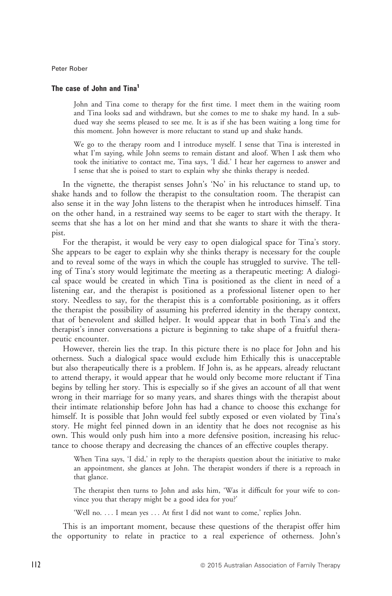## The case of John and Tina<sup>1</sup>

John and Tina come to therapy for the first time. I meet them in the waiting room and Tina looks sad and withdrawn, but she comes to me to shake my hand. In a subdued way she seems pleased to see me. It is as if she has been waiting a long time for this moment. John however is more reluctant to stand up and shake hands.

We go to the therapy room and I introduce myself. I sense that Tina is interested in what I'm saying, while John seems to remain distant and aloof. When I ask them who took the initiative to contact me, Tina says, 'I did.' I hear her eagerness to answer and I sense that she is poised to start to explain why she thinks therapy is needed.

In the vignette, the therapist senses John's 'No' in his reluctance to stand up, to shake hands and to follow the therapist to the consultation room. The therapist can also sense it in the way John listens to the therapist when he introduces himself. Tina on the other hand, in a restrained way seems to be eager to start with the therapy. It seems that she has a lot on her mind and that she wants to share it with the therapist.

For the therapist, it would be very easy to open dialogical space for Tina's story. She appears to be eager to explain why she thinks therapy is necessary for the couple and to reveal some of the ways in which the couple has struggled to survive. The telling of Tina's story would legitimate the meeting as a therapeutic meeting: A dialogical space would be created in which Tina is positioned as the client in need of a listening ear, and the therapist is positioned as a professional listener open to her story. Needless to say, for the therapist this is a comfortable positioning, as it offers the therapist the possibility of assuming his preferred identity in the therapy context, that of benevolent and skilled helper. It would appear that in both Tina's and the therapist's inner conversations a picture is beginning to take shape of a fruitful therapeutic encounter.

However, therein lies the trap. In this picture there is no place for John and his otherness. Such a dialogical space would exclude him Ethically this is unacceptable but also therapeutically there is a problem. If John is, as he appears, already reluctant to attend therapy, it would appear that he would only become more reluctant if Tina begins by telling her story. This is especially so if she gives an account of all that went wrong in their marriage for so many years, and shares things with the therapist about their intimate relationship before John has had a chance to choose this exchange for himself. It is possible that John would feel subtly exposed or even violated by Tina's story. He might feel pinned down in an identity that he does not recognise as his own. This would only push him into a more defensive position, increasing his reluctance to choose therapy and decreasing the chances of an effective couples therapy.

When Tina says, 'I did,' in reply to the therapists question about the initiative to make an appointment, she glances at John. The therapist wonders if there is a reproach in that glance.

The therapist then turns to John and asks him, 'Was it difficult for your wife to convince you that therapy might be a good idea for you?'

'Well no. ... I mean yes ... At first I did not want to come,' replies John.

This is an important moment, because these questions of the therapist offer him the opportunity to relate in practice to a real experience of otherness. John's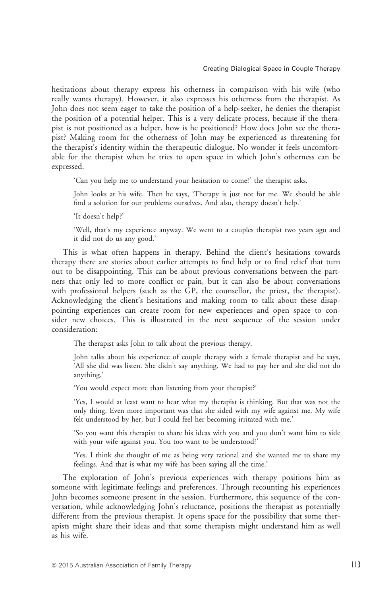#### Creating Dialogical Space in Couple Therapy Creating Dialogical Space in Couple Therapy

hesitations about therapy express his otherness in comparison with his wife (who really wants therapy). However, it also expresses his otherness from the therapist. As John does not seem eager to take the position of a help-seeker, he denies the therapist the position of a potential helper. This is a very delicate process, because if the therapist is not positioned as a helper, how is he positioned? How does John see the therapist? Making room for the otherness of John may be experienced as threatening for the therapist's identity within the therapeutic dialogue. No wonder it feels uncomfortable for the therapist when he tries to open space in which John's otherness can be expressed.

'Can you help me to understand your hesitation to come?' the therapist asks.

John looks at his wife. Then he says, 'Therapy is just not for me. We should be able find a solution for our problems ourselves. And also, therapy doesn't help.'

'It doesn't help?'

'Well, that's my experience anyway. We went to a couples therapist two years ago and it did not do us any good.'

This is what often happens in therapy. Behind the client's hesitations towards therapy there are stories about earlier attempts to find help or to find relief that turn out to be disappointing. This can be about previous conversations between the partners that only led to more conflict or pain, but it can also be about conversations with professional helpers (such as the GP, the counsellor, the priest, the therapist). Acknowledging the client's hesitations and making room to talk about these disappointing experiences can create room for new experiences and open space to consider new choices. This is illustrated in the next sequence of the session under consideration:

The therapist asks John to talk about the previous therapy.

John talks about his experience of couple therapy with a female therapist and he says, 'All she did was listen. She didn't say anything. We had to pay her and she did not do anything.'

'You would expect more than listening from your therapist?'

'Yes, I would at least want to hear what my therapist is thinking. But that was not the only thing. Even more important was that she sided with my wife against me. My wife felt understood by her, but I could feel her becoming irritated with me.'

'So you want this therapist to share his ideas with you and you don't want him to side with your wife against you. You too want to be understood?'

'Yes. I think she thought of me as being very rational and she wanted me to share my feelings. And that is what my wife has been saying all the time.'

The exploration of John's previous experiences with therapy positions him as someone with legitimate feelings and preferences. Through recounting his experiences John becomes someone present in the session. Furthermore, this sequence of the conversation, while acknowledging John's reluctance, positions the therapist as potentially different from the previous therapist. It opens space for the possibility that some therapists might share their ideas and that some therapists might understand him as well as his wife.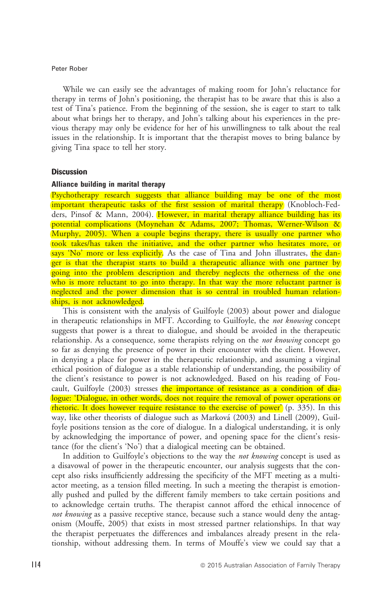While we can easily see the advantages of making room for John's reluctance for therapy in terms of John's positioning, the therapist has to be aware that this is also a test of Tina's patience. From the beginning of the session, she is eager to start to talk about what brings her to therapy, and John's talking about his experiences in the previous therapy may only be evidence for her of his unwillingness to talk about the real issues in the relationship. It is important that the therapist moves to bring balance by giving Tina space to tell her story.

# **Discussion**

## Alliance building in marital therapy

Psychotherapy research suggests that alliance building may be one of the most important therapeutic tasks of the first session of marital therapy (Knobloch-Fedders, Pinsof & Mann, 2004). However, in marital therapy alliance building has its potential complications (Moynehan & Adams, 2007; Thomas, Werner-Wilson & Murphy, 2005). When a couple begins therapy, there is usually one partner who took takes/has taken the initiative, and the other partner who hesitates more, or says 'No' more or less explicitly. As the case of Tina and John illustrates, the danger is that the therapist starts to build a therapeutic alliance with one partner by going into the problem description and thereby neglects the otherness of the one who is more reluctant to go into therapy. In that way the more reluctant partner is neglected and the power dimension that is so central in troubled human relationships, is not acknowledged.

This is consistent with the analysis of Guilfoyle (2003) about power and dialogue in therapeutic relationships in MFT. According to Guilfoyle, the not knowing concept suggests that power is a threat to dialogue, and should be avoided in the therapeutic relationship. As a consequence, some therapists relying on the *not knowing* concept go so far as denying the presence of power in their encounter with the client. However, in denying a place for power in the therapeutic relationship, and assuming a virginal ethical position of dialogue as a stable relationship of understanding, the possibility of the client's resistance to power is not acknowledged. Based on his reading of Foucault, Guilfoyle (2003) stresses the importance of resistance as a condition of dialogue: 'Dialogue, in other words, does not require the removal of power operations or rhetoric. It does however require resistance to the exercise of power' (p. 335). In this way, like other theorists of dialogue such as Marková (2003) and Linell (2009), Guilfoyle positions tension as the core of dialogue. In a dialogical understanding, it is only by acknowledging the importance of power, and opening space for the client's resistance (for the client's 'No') that a dialogical meeting can be obtained.

In addition to Guilfoyle's objections to the way the not knowing concept is used as a disavowal of power in the therapeutic encounter, our analysis suggests that the concept also risks insufficiently addressing the specificity of the MFT meeting as a multiactor meeting, as a tension filled meeting. In such a meeting the therapist is emotionally pushed and pulled by the different family members to take certain positions and to acknowledge certain truths. The therapist cannot afford the ethical innocence of not knowing as a passive receptive stance, because such a stance would deny the antagonism (Mouffe, 2005) that exists in most stressed partner relationships. In that way the therapist perpetuates the differences and imbalances already present in the relationship, without addressing them. In terms of Mouffe's view we could say that a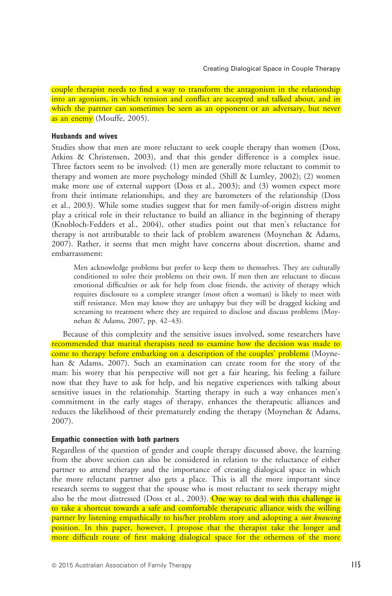couple therapist needs to find a way to transform the antagonism in the relationship into an agonism, in which tension and conflict are accepted and talked about, and in which the partner can sometimes be seen as an opponent or an adversary, but never as an enemy (Mouffe, 2005).

# Husbands and wives

Studies show that men are more reluctant to seek couple therapy than women (Doss, Atkins & Christensen, 2003), and that this gender difference is a complex issue. Three factors seem to be involved: (1) men are generally more reluctant to commit to therapy and women are more psychology minded (Shill & Lumley, 2002); (2) women make more use of external support (Doss et al., 2003); and (3) women expect more from their intimate relationships, and they are barometers of the relationship (Doss et al., 2003). While some studies suggest that for men family-of-origin distress might play a critical role in their reluctance to build an alliance in the beginning of therapy (Knobloch-Fedders et al., 2004), other studies point out that men's reluctance for therapy is not attributable to their lack of problem awareness (Moynehan & Adams, 2007). Rather, it seems that men might have concerns about discretion, shame and embarrassment:

Men acknowledge problems but prefer to keep them to themselves. They are culturally conditioned to solve their problems on their own. If men then are reluctant to discuss emotional difficulties or ask for help from close friends, the activity of therapy which requires disclosure to a complete stranger (most often a woman) is likely to meet with stiff resistance. Men may know they are unhappy but they will be dragged kicking and screaming to treatment where they are required to disclose and discuss problems (Moynehan & Adams, 2007, pp. 42–43).

Because of this complexity and the sensitive issues involved, some researchers have recommended that marital therapists need to examine how the decision was made to come to therapy before embarking on a description of the couples' problems (Moynehan & Adams, 2007). Such an examination can create room for the story of the man: his worry that his perspective will not get a fair hearing, his feeling a failure now that they have to ask for help, and his negative experiences with talking about sensitive issues in the relationship. Starting therapy in such a way enhances men's commitment in the early stages of therapy, enhances the therapeutic alliances and reduces the likelihood of their prematurely ending the therapy (Moynehan & Adams, 2007).

## Empathic connection with both partners

Regardless of the question of gender and couple therapy discussed above, the learning from the above section can also be considered in relation to the reluctance of either partner to attend therapy and the importance of creating dialogical space in which the more reluctant partner also gets a place. This is all the more important since research seems to suggest that the spouse who is most reluctant to seek therapy might also be the most distressed (Doss et al., 2003). One way to deal with this challenge is to take a shortcut towards a safe and comfortable therapeutic alliance with the willing partner by listening empathically to his/her problem story and adopting a *not knowing* position. In this paper, however, I propose that the therapist take the longer and more difficult route of first making dialogical space for the otherness of the more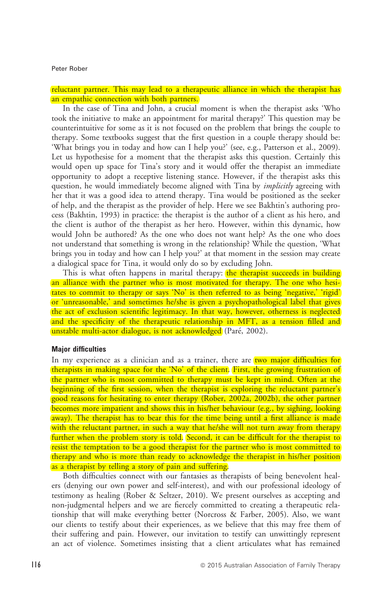# reluctant partner. This may lead to a therapeutic alliance in which the therapist has an empathic connection with both partners.

In the case of Tina and John, a crucial moment is when the therapist asks 'Who took the initiative to make an appointment for marital therapy?' This question may be counterintuitive for some as it is not focused on the problem that brings the couple to therapy. Some textbooks suggest that the first question in a couple therapy should be: 'What brings you in today and how can I help you?' (see, e.g., Patterson et al., 2009). Let us hypothesise for a moment that the therapist asks this question. Certainly this would open up space for Tina's story and it would offer the therapist an immediate opportunity to adopt a receptive listening stance. However, if the therapist asks this question, he would immediately become aligned with Tina by *implicitly* agreeing with her that it was a good idea to attend therapy. Tina would be positioned as the seeker of help, and the therapist as the provider of help. Here we see Bakhtin's authoring process (Bakhtin, 1993) in practice: the therapist is the author of a client as his hero, and the client is author of the therapist as her hero. However, within this dynamic, how would John be authored? As the one who does not want help? As the one who does not understand that something is wrong in the relationship? While the question, 'What brings you in today and how can I help you?' at that moment in the session may create a dialogical space for Tina, it would only do so by excluding John.

This is what often happens in marital therapy: the therapist succeeds in building an alliance with the partner who is most motivated for therapy. The one who hesitates to commit to therapy or says 'No' is then referred to as being 'negative,' 'rigid' or 'unreasonable,' and sometimes he/she is given a psychopathological label that gives the act of exclusion scientific legitimacy. In that way, however, otherness is neglected and the specificity of the therapeutic relationship in MFT, as a tension filled and <mark>unstable multi-actor dialogue, is not acknowledged</mark> (Paré, 2002).

## Major difficulties

In my experience as a clinician and as a trainer, there are two major difficulties for therapists in making space for the 'No' of the client. First, the growing frustration of the partner who is most committed to therapy must be kept in mind. Often at the beginning of the first session, when the therapist is exploring the reluctant partner's good reasons for hesitating to enter therapy (Rober, 2002a, 2002b), the other partner becomes more impatient and shows this in his/her behaviour (e.g., by sighing, looking away). The therapist has to bear this for the time being until a first alliance is made with the reluctant partner, in such a way that he/she will not turn away from therapy further when the problem story is told. Second, it can be difficult for the therapist to resist the temptation to be a good therapist for the partner who is most committed to therapy and who is more than ready to acknowledge the therapist in his/her position as a therapist by telling a story of pain and suffering.

Both difficulties connect with our fantasies as therapists of being benevolent healers (denying our own power and self-interest), and with our professional ideology of testimony as healing (Rober & Seltzer, 2010). We present ourselves as accepting and non-judgmental helpers and we are fiercely committed to creating a therapeutic relationship that will make everything better (Norcross & Farber, 2005). Also, we want our clients to testify about their experiences, as we believe that this may free them of their suffering and pain. However, our invitation to testify can unwittingly represent an act of violence. Sometimes insisting that a client articulates what has remained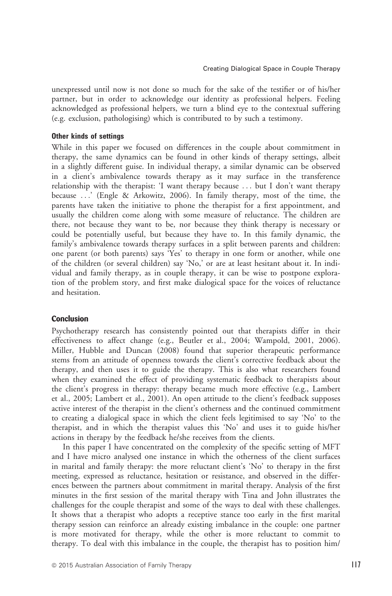unexpressed until now is not done so much for the sake of the testifier or of his/her partner, but in order to acknowledge our identity as professional helpers. Feeling acknowledged as professional helpers, we turn a blind eye to the contextual suffering (e.g. exclusion, pathologising) which is contributed to by such a testimony.

## Other kinds of settings

While in this paper we focused on differences in the couple about commitment in therapy, the same dynamics can be found in other kinds of therapy settings, albeit in a slightly different guise. In individual therapy, a similar dynamic can be observed in a client's ambivalence towards therapy as it may surface in the transference relationship with the therapist: 'I want therapy because ... but I don't want therapy because ...' (Engle & Arkowitz, 2006). In family therapy, most of the time, the parents have taken the initiative to phone the therapist for a first appointment, and usually the children come along with some measure of reluctance. The children are there, not because they want to be, nor because they think therapy is necessary or could be potentially useful, but because they have to. In this family dynamic, the family's ambivalence towards therapy surfaces in a split between parents and children: one parent (or both parents) says 'Yes' to therapy in one form or another, while one of the children (or several children) say 'No,' or are at least hesitant about it. In individual and family therapy, as in couple therapy, it can be wise to postpone exploration of the problem story, and first make dialogical space for the voices of reluctance and hesitation.

# **Conclusion**

Psychotherapy research has consistently pointed out that therapists differ in their effectiveness to affect change (e.g., Beutler et al., 2004; Wampold, 2001, 2006). Miller, Hubble and Duncan (2008) found that superior therapeutic performance stems from an attitude of openness towards the client's corrective feedback about the therapy, and then uses it to guide the therapy. This is also what researchers found when they examined the effect of providing systematic feedback to therapists about the client's progress in therapy: therapy became much more effective (e.g., Lambert et al., 2005; Lambert et al., 2001). An open attitude to the client's feedback supposes active interest of the therapist in the client's otherness and the continued commitment to creating a dialogical space in which the client feels legitimised to say 'No' to the therapist, and in which the therapist values this 'No' and uses it to guide his/her actions in therapy by the feedback he/she receives from the clients.

In this paper I have concentrated on the complexity of the specific setting of MFT and I have micro analysed one instance in which the otherness of the client surfaces in marital and family therapy: the more reluctant client's 'No' to therapy in the first meeting, expressed as reluctance, hesitation or resistance, and observed in the differences between the partners about commitment in marital therapy. Analysis of the first minutes in the first session of the marital therapy with Tina and John illustrates the challenges for the couple therapist and some of the ways to deal with these challenges. It shows that a therapist who adopts a receptive stance too early in the first marital therapy session can reinforce an already existing imbalance in the couple: one partner is more motivated for therapy, while the other is more reluctant to commit to therapy. To deal with this imbalance in the couple, the therapist has to position him/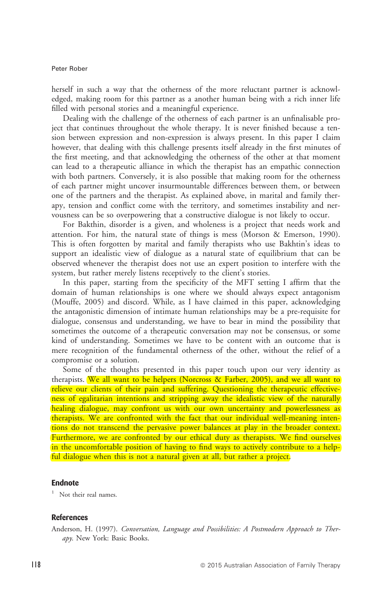herself in such a way that the otherness of the more reluctant partner is acknowledged, making room for this partner as a another human being with a rich inner life filled with personal stories and a meaningful experience.

Dealing with the challenge of the otherness of each partner is an unfinalisable project that continues throughout the whole therapy. It is never finished because a tension between expression and non-expression is always present. In this paper I claim however, that dealing with this challenge presents itself already in the first minutes of the first meeting, and that acknowledging the otherness of the other at that moment can lead to a therapeutic alliance in which the therapist has an empathic connection with both partners. Conversely, it is also possible that making room for the otherness of each partner might uncover insurmountable differences between them, or between one of the partners and the therapist. As explained above, in marital and family therapy, tension and conflict come with the territory, and sometimes instability and nervousness can be so overpowering that a constructive dialogue is not likely to occur.

For Bakthin, disorder is a given, and wholeness is a project that needs work and attention. For him, the natural state of things is mess (Morson & Emerson, 1990). This is often forgotten by marital and family therapists who use Bakhtin's ideas to support an idealistic view of dialogue as a natural state of equilibrium that can be observed whenever the therapist does not use an expert position to interfere with the system, but rather merely listens receptively to the client's stories.

In this paper, starting from the specificity of the MFT setting I affirm that the domain of human relationships is one where we should always expect antagonism (Mouffe, 2005) and discord. While, as I have claimed in this paper, acknowledging the antagonistic dimension of intimate human relationships may be a pre-requisite for dialogue, consensus and understanding, we have to bear in mind the possibility that sometimes the outcome of a therapeutic conversation may not be consensus, or some kind of understanding. Sometimes we have to be content with an outcome that is mere recognition of the fundamental otherness of the other, without the relief of a compromise or a solution.

Some of the thoughts presented in this paper touch upon our very identity as therapists. We all want to be helpers (Norcross & Farber, 2005), and we all want to relieve our clients of their pain and suffering. Questioning the therapeutic effectiveness of egalitarian intentions and stripping away the idealistic view of the naturally healing dialogue, may confront us with our own uncertainty and powerlessness as therapists. We are confronted with the fact that our individual well-meaning intentions do not transcend the pervasive power balances at play in the broader context. Furthermore, we are confronted by our ethical duty as therapists. We find ourselves in the uncomfortable position of having to find ways to actively contribute to a helpful dialogue when this is not a natural given at all, but rather a project.

## Endnote

Not their real names.

# References

Anderson, H. (1997). Conversation, Language and Possibilities: A Postmodern Approach to Therapy. New York: Basic Books.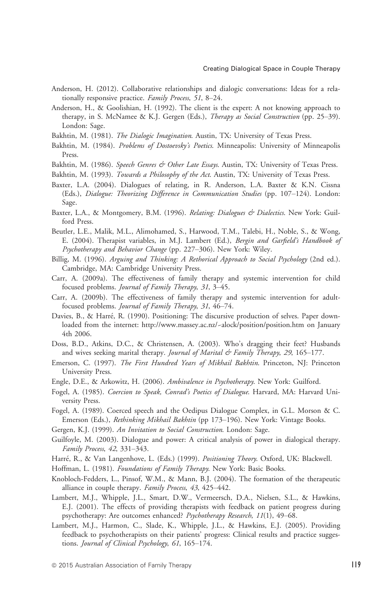- Anderson, H. (2012). Collaborative relationships and dialogic conversations: Ideas for a relationally responsive practice. Family Process, 51, 8-24.
- Anderson, H., & Goolishian, H. (1992). The client is the expert: A not knowing approach to therapy, in S. McNamee & K.J. Gergen (Eds.), Therapy as Social Construction (pp. 25-39). London: Sage.
- Bakhtin, M. (1981). The Dialogic Imagination. Austin, TX: University of Texas Press.
- Bakhtin, M. (1984). Problems of Dostoevsky's Poetics. Minneapolis: University of Minneapolis Press.
- Bakhtin, M. (1986). Speech Genres & Other Late Essays. Austin, TX: University of Texas Press.
- Bakhtin, M. (1993). Towards a Philosophy of the Act. Austin, TX: University of Texas Press.
- Baxter, L.A. (2004). Dialogues of relating, in R. Anderson, L.A. Baxter & K.N. Cissna (Eds.), Dialogue: Theorizing Difference in Communication Studies (pp. 107–124). London: Sage.
- Baxter, L.A., & Montgomery, B.M. (1996). Relating: Dialogues & Dialectics. New York: Guilford Press.
- Beutler, L.E., Malik, M.L., Alimohamed, S., Harwood, T.M., Talebi, H., Noble, S., & Wong, E. (2004). Therapist variables, in M.J. Lambert (Ed.), Bergin and Garfield's Handbook of Psychotherapy and Behavior Change (pp. 227–306). New York: Wiley.
- Billig, M. (1996). Arguing and Thinking: A Rethorical Approach to Social Psychology (2nd ed.). Cambridge, MA: Cambridge University Press.
- Carr, A. (2009a). The effectiveness of family therapy and systemic intervention for child focused problems. Journal of Family Therapy, 31, 3–45.
- Carr, A. (2009b). The effectiveness of family therapy and systemic intervention for adultfocused problems. Journal of Family Therapy, 31, 46–74.
- Davies, B., & Harré, R. (1990). Positioning: The discursive production of selves. Paper downloaded from the internet:<http://www.massey.ac.nz/~alock/position/position.htm> on January 4th 2006.
- Doss, B.D., Atkins, D.C., & Christensen, A. (2003). Who's dragging their feet? Husbands and wives seeking marital therapy. Journal of Marital & Family Therapy, 29, 165–177.
- Emerson, C. (1997). The First Hundred Years of Mikhail Bakhtin. Princeton, NJ: Princeton University Press.
- Engle, D.E., & Arkowitz, H. (2006). Ambivalence in Psychotherapy. New York: Guilford.
- Fogel, A. (1985). Coercion to Speak, Conrad's Poetics of Dialogue. Harvard, MA: Harvard University Press.
- Fogel, A. (1989). Coerced speech and the Oedipus Dialogue Complex, in G.L. Morson & C. Emerson (Eds.), Rethinking Mikhail Bakhtin (pp 173–196). New York: Vintage Books.
- Gergen, K.J. (1999). An Invitation to Social Construction. London: Sage.
- Guilfoyle, M. (2003). Dialogue and power: A critical analysis of power in dialogical therapy. Family Process, 42, 331–343.
- Harré, R., & Van Langenhove, L. (Eds.) (1999). *Positioning Theory*. Oxford, UK: Blackwell.
- Hoffman, L. (1981). Foundations of Family Therapy. New York: Basic Books.
- Knobloch-Fedders, L., Pinsof, W.M., & Mann, B.J. (2004). The formation of the therapeutic alliance in couple therapy. Family Process, 43, 425–442.
- Lambert, M.J., Whipple, J.L., Smart, D.W., Vermeersch, D.A., Nielsen, S.L., & Hawkins, E.J. (2001). The effects of providing therapists with feedback on patient progress during psychotherapy: Are outcomes enhanced? Psychotherapy Research, 11(1), 49-68.
- Lambert, M.J., Harmon, C., Slade, K., Whipple, J.L., & Hawkins, E.J. (2005). Providing feedback to psychotherapists on their patients' progress: Clinical results and practice suggestions. Journal of Clinical Psychology, 61, 165–174.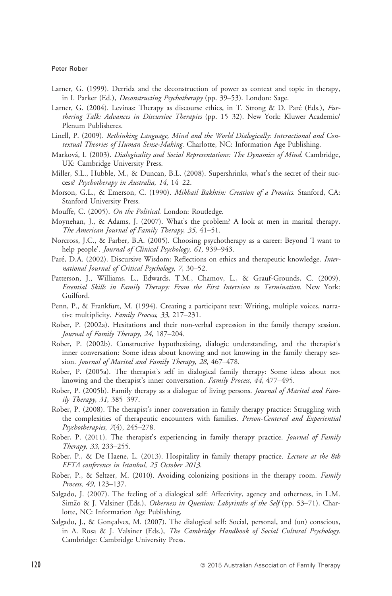- Larner, G. (1999). Derrida and the deconstruction of power as context and topic in therapy, in I. Parker (Ed.), *Deconstructing Psychotherapy* (pp. 39–53). London: Sage.
- Larner, G. (2004). Levinas: Therapy as discourse ethics, in T. Strong & D. Paré (Eds.), *Fur*thering Talk: Advances in Discursive Therapies (pp. 15-32). New York: Kluwer Academic/ Plenum Publisheres.
- Linell, P. (2009). Rethinking Language, Mind and the World Dialogically: Interactional and Contextual Theories of Human Sense-Making. Charlotte, NC: Information Age Publishing.
- Marková, I. (2003). *Dialogicality and Social Representations: The Dynamics of Mind*. Cambridge, UK: Cambridge University Press.
- Miller, S.L., Hubble, M., & Duncan, B.L. (2008). Supershrinks, what's the secret of their success? Psychotherapy in Australia, 14, 14–22.
- Morson, G.L., & Emerson, C. (1990). Mikhail Bakhtin: Creation of a Prosaics. Stanford, CA: Stanford University Press.
- Mouffe, C. (2005). On the Political. London: Routledge.
- Moynehan, J., & Adams, J. (2007). What's the problem? A look at men in marital therapy. The American Journal of Family Therapy, 35, 41–51.
- Norcross, J.C., & Farber, B.A. (2005). Choosing psychotherapy as a career: Beyond 'I want to help people'. Journal of Clinical Psychology, 61, 939-943.
- Paré, D.A. (2002). Discursive Wisdom: Reflections on ethics and therapeutic knowledge. International Journal of Critical Psychology, 7, 30–52.
- Patterson, J., Williams, L., Edwards, T.M., Chamov, L., & Grauf-Grounds, C. (2009). Essential Skills in Family Therapy: From the First Interview to Termination. New York: Guilford.
- Penn, P., & Frankfurt, M. (1994). Creating a participant text: Writing, multiple voices, narrative multiplicity. Family Process, 33, 217–231.
- Rober, P. (2002a). Hesitations and their non-verbal expression in the family therapy session. Journal of Family Therapy, 24, 187–204.
- Rober, P. (2002b). Constructive hypothesizing, dialogic understanding, and the therapist's inner conversation: Some ideas about knowing and not knowing in the family therapy session. Journal of Marital and Family Therapy, 28, 467–478.
- Rober, P. (2005a). The therapist's self in dialogical family therapy: Some ideas about not knowing and the therapist's inner conversation. Family Process, 44, 477–495.
- Rober, P. (2005b). Family therapy as a dialogue of living persons. *Journal of Marital and Fam*ily Therapy, 31, 385–397.
- Rober, P. (2008). The therapist's inner conversation in family therapy practice: Struggling with the complexities of therapeutic encounters with families. Person-Centered and Experiential Psychotherapies,  $7(4)$ , 245–278.
- Rober, P. (2011). The therapist's experiencing in family therapy practice. *Journal of Family* Therapy, 33, 233–255.
- Rober, P., & De Haene, L. (2013). Hospitality in family therapy practice. Lecture at the 8th EFTA conference in Istanbul, 25 October 2013.
- Rober, P., & Seltzer, M. (2010). Avoiding colonizing positions in the therapy room. Family Process, 49, 123–137.
- Salgado, J. (2007). The feeling of a dialogical self: Affectivity, agency and otherness, in L.M. Simão & J. Valsiner (Eds.), Otherness in Question: Labyrinths of the Self (pp. 53-71). Charlotte, NC: Information Age Publishing.
- Salgado, J., & Goncalves, M. (2007). The dialogical self: Social, personal, and (un) conscious, in A. Rosa & J. Valsiner (Eds.), The Cambridge Handbook of Social Cultural Psychology. Cambridge: Cambridge University Press.